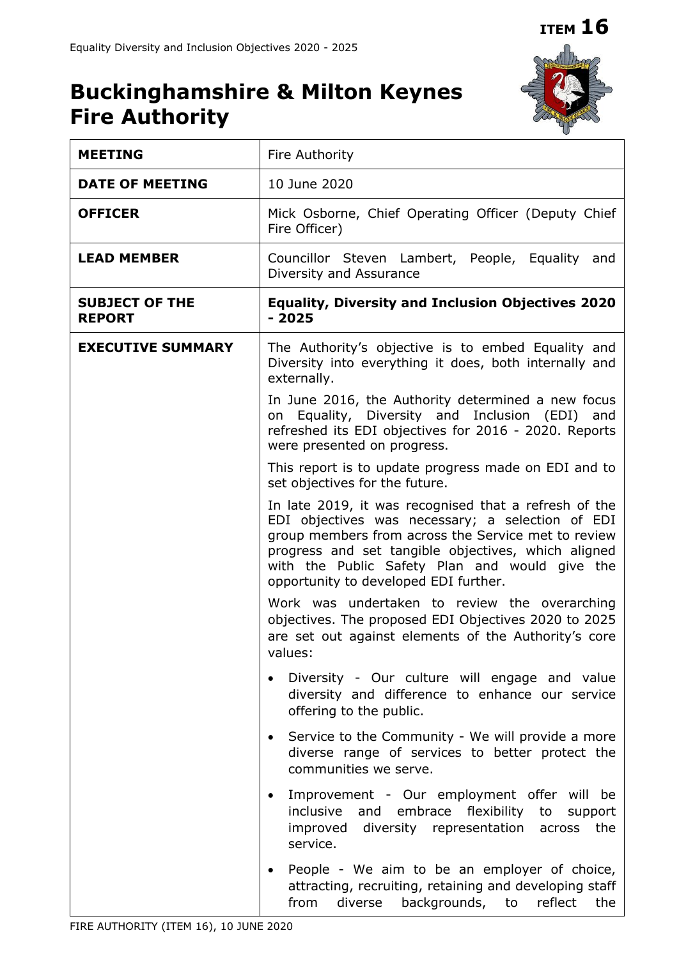**ITEM 16**

# **Buckinghamshire & Milton Keynes Fire Authority**



| <b>MEETING</b>                         | Fire Authority                                                                                                                                                                                                                                                                                                     |  |  |  |  |  |
|----------------------------------------|--------------------------------------------------------------------------------------------------------------------------------------------------------------------------------------------------------------------------------------------------------------------------------------------------------------------|--|--|--|--|--|
| <b>DATE OF MEETING</b>                 | 10 June 2020                                                                                                                                                                                                                                                                                                       |  |  |  |  |  |
| <b>OFFICER</b>                         | Mick Osborne, Chief Operating Officer (Deputy Chief<br>Fire Officer)                                                                                                                                                                                                                                               |  |  |  |  |  |
| <b>LEAD MEMBER</b>                     | Councillor Steven Lambert, People, Equality and<br>Diversity and Assurance                                                                                                                                                                                                                                         |  |  |  |  |  |
| <b>SUBJECT OF THE</b><br><b>REPORT</b> | <b>Equality, Diversity and Inclusion Objectives 2020</b><br>$-2025$                                                                                                                                                                                                                                                |  |  |  |  |  |
| <b>EXECUTIVE SUMMARY</b>               | The Authority's objective is to embed Equality and<br>Diversity into everything it does, both internally and<br>externally.                                                                                                                                                                                        |  |  |  |  |  |
|                                        | In June 2016, the Authority determined a new focus<br>Equality, Diversity and Inclusion (EDI) and<br>on<br>refreshed its EDI objectives for 2016 - 2020. Reports<br>were presented on progress.                                                                                                                    |  |  |  |  |  |
|                                        | This report is to update progress made on EDI and to<br>set objectives for the future.                                                                                                                                                                                                                             |  |  |  |  |  |
|                                        | In late 2019, it was recognised that a refresh of the<br>EDI objectives was necessary; a selection of EDI<br>group members from across the Service met to review<br>progress and set tangible objectives, which aligned<br>with the Public Safety Plan and would give the<br>opportunity to developed EDI further. |  |  |  |  |  |
|                                        | Work was undertaken to review the overarching<br>objectives. The proposed EDI Objectives 2020 to 2025<br>are set out against elements of the Authority's core<br>values:                                                                                                                                           |  |  |  |  |  |
|                                        | Diversity - Our culture will engage and value<br>diversity and difference to enhance our service<br>offering to the public.                                                                                                                                                                                        |  |  |  |  |  |
|                                        | Service to the Community - We will provide a more<br>$\bullet$<br>diverse range of services to better protect the<br>communities we serve.                                                                                                                                                                         |  |  |  |  |  |
|                                        | Improvement - Our employment offer will be<br>٠<br>and embrace flexibility to<br>inclusive<br>support<br>improved<br>diversity representation across<br>the<br>service.                                                                                                                                            |  |  |  |  |  |
|                                        | People - We aim to be an employer of choice,<br>$\bullet$<br>attracting, recruiting, retaining and developing staff<br>backgrounds, to<br>diverse<br>reflect<br>from<br>the                                                                                                                                        |  |  |  |  |  |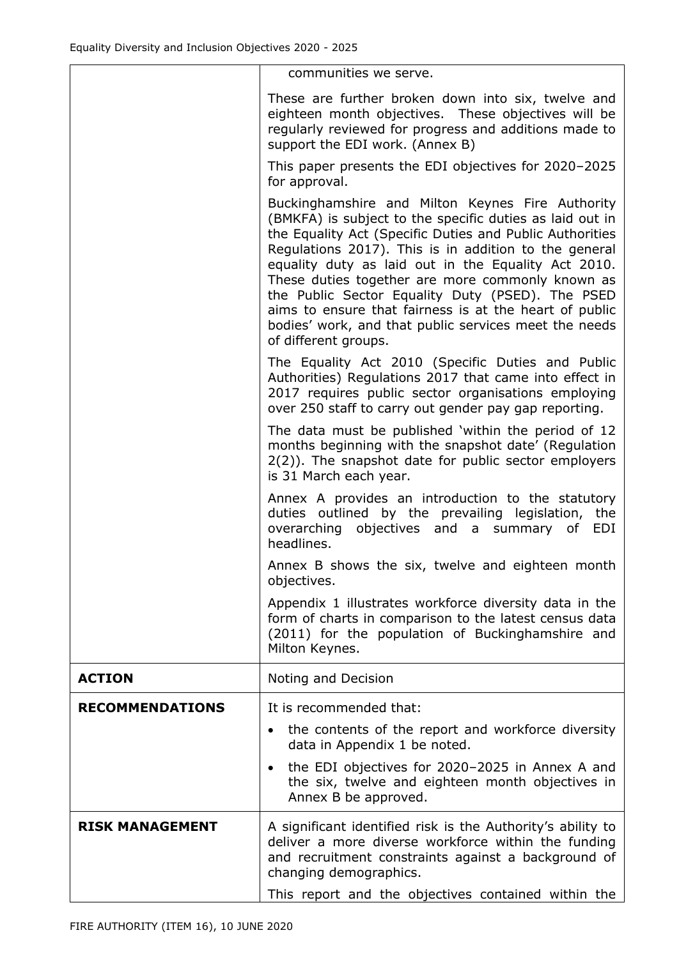|                        | communities we serve.                                                                                                                                                                                                                                                                                                                                                                                                                                                                                                                       |
|------------------------|---------------------------------------------------------------------------------------------------------------------------------------------------------------------------------------------------------------------------------------------------------------------------------------------------------------------------------------------------------------------------------------------------------------------------------------------------------------------------------------------------------------------------------------------|
|                        | These are further broken down into six, twelve and<br>eighteen month objectives. These objectives will be<br>regularly reviewed for progress and additions made to<br>support the EDI work. (Annex B)                                                                                                                                                                                                                                                                                                                                       |
|                        | This paper presents the EDI objectives for 2020-2025<br>for approval.                                                                                                                                                                                                                                                                                                                                                                                                                                                                       |
|                        | Buckinghamshire and Milton Keynes Fire Authority<br>(BMKFA) is subject to the specific duties as laid out in<br>the Equality Act (Specific Duties and Public Authorities<br>Regulations 2017). This is in addition to the general<br>equality duty as laid out in the Equality Act 2010.<br>These duties together are more commonly known as<br>the Public Sector Equality Duty (PSED). The PSED<br>aims to ensure that fairness is at the heart of public<br>bodies' work, and that public services meet the needs<br>of different groups. |
|                        | The Equality Act 2010 (Specific Duties and Public<br>Authorities) Regulations 2017 that came into effect in<br>2017 requires public sector organisations employing<br>over 250 staff to carry out gender pay gap reporting.                                                                                                                                                                                                                                                                                                                 |
|                        | The data must be published 'within the period of 12<br>months beginning with the snapshot date' (Regulation<br>2(2)). The snapshot date for public sector employers<br>is 31 March each year.                                                                                                                                                                                                                                                                                                                                               |
|                        | Annex A provides an introduction to the statutory<br>duties outlined by the prevailing legislation, the<br>overarching objectives and a summary of EDI<br>headlines.                                                                                                                                                                                                                                                                                                                                                                        |
|                        | Annex B shows the six, twelve and eighteen month<br>objectives.                                                                                                                                                                                                                                                                                                                                                                                                                                                                             |
|                        | Appendix 1 illustrates workforce diversity data in the<br>form of charts in comparison to the latest census data<br>(2011) for the population of Buckinghamshire and<br>Milton Keynes.                                                                                                                                                                                                                                                                                                                                                      |
| <b>ACTION</b>          | Noting and Decision                                                                                                                                                                                                                                                                                                                                                                                                                                                                                                                         |
| <b>RECOMMENDATIONS</b> | It is recommended that:                                                                                                                                                                                                                                                                                                                                                                                                                                                                                                                     |
|                        | the contents of the report and workforce diversity<br>data in Appendix 1 be noted.                                                                                                                                                                                                                                                                                                                                                                                                                                                          |
|                        | the EDI objectives for 2020-2025 in Annex A and<br>$\bullet$<br>the six, twelve and eighteen month objectives in<br>Annex B be approved.                                                                                                                                                                                                                                                                                                                                                                                                    |
| <b>RISK MANAGEMENT</b> | A significant identified risk is the Authority's ability to<br>deliver a more diverse workforce within the funding<br>and recruitment constraints against a background of<br>changing demographics.<br>This report and the objectives contained within the                                                                                                                                                                                                                                                                                  |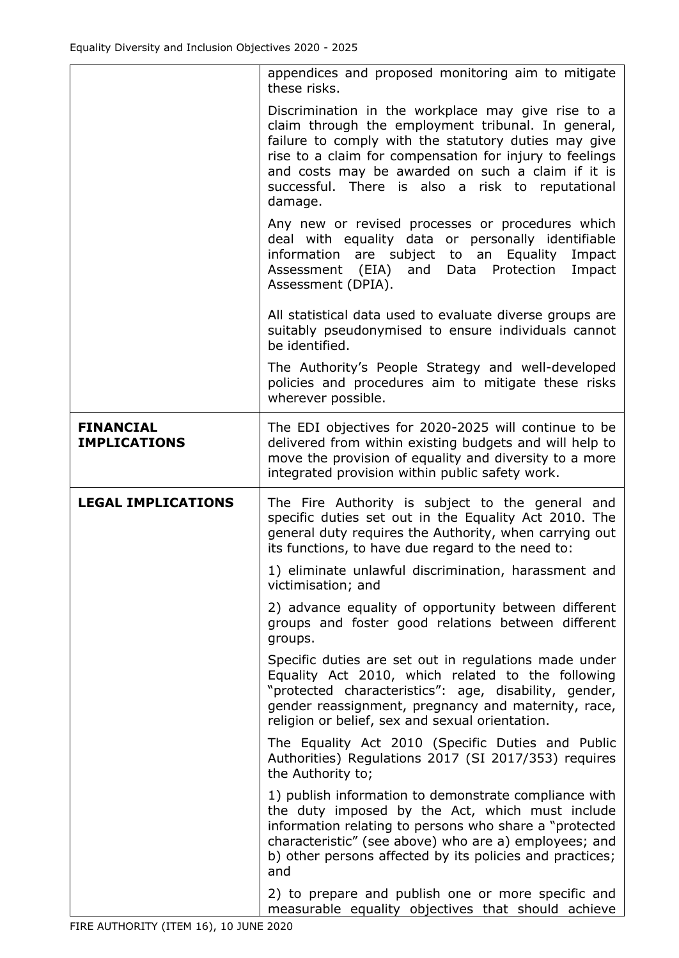|                                         | appendices and proposed monitoring aim to mitigate<br>these risks.                                                                                                                                                                                                                                                                              |
|-----------------------------------------|-------------------------------------------------------------------------------------------------------------------------------------------------------------------------------------------------------------------------------------------------------------------------------------------------------------------------------------------------|
|                                         | Discrimination in the workplace may give rise to a<br>claim through the employment tribunal. In general,<br>failure to comply with the statutory duties may give<br>rise to a claim for compensation for injury to feelings<br>and costs may be awarded on such a claim if it is<br>successful. There is also a risk to reputational<br>damage. |
|                                         | Any new or revised processes or procedures which<br>deal with equality data or personally identifiable<br>information are subject to an Equality<br>Impact<br>Assessment (EIA)<br>and<br>Data Protection<br>Impact<br>Assessment (DPIA).                                                                                                        |
|                                         | All statistical data used to evaluate diverse groups are<br>suitably pseudonymised to ensure individuals cannot<br>be identified.                                                                                                                                                                                                               |
|                                         | The Authority's People Strategy and well-developed<br>policies and procedures aim to mitigate these risks<br>wherever possible.                                                                                                                                                                                                                 |
| <b>FINANCIAL</b><br><b>IMPLICATIONS</b> | The EDI objectives for 2020-2025 will continue to be<br>delivered from within existing budgets and will help to<br>move the provision of equality and diversity to a more<br>integrated provision within public safety work.                                                                                                                    |
|                                         |                                                                                                                                                                                                                                                                                                                                                 |
| <b>LEGAL IMPLICATIONS</b>               | The Fire Authority is subject to the general and<br>specific duties set out in the Equality Act 2010. The<br>general duty requires the Authority, when carrying out<br>its functions, to have due regard to the need to:                                                                                                                        |
|                                         | 1) eliminate unlawful discrimination, harassment and<br>victimisation; and                                                                                                                                                                                                                                                                      |
|                                         | 2) advance equality of opportunity between different<br>groups and foster good relations between different<br>groups.                                                                                                                                                                                                                           |
|                                         | Specific duties are set out in regulations made under<br>Equality Act 2010, which related to the following<br>"protected characteristics": age, disability, gender,<br>gender reassignment, pregnancy and maternity, race,<br>religion or belief, sex and sexual orientation.                                                                   |
|                                         | The Equality Act 2010 (Specific Duties and Public<br>Authorities) Regulations 2017 (SI 2017/353) requires<br>the Authority to;                                                                                                                                                                                                                  |
|                                         | 1) publish information to demonstrate compliance with<br>the duty imposed by the Act, which must include<br>information relating to persons who share a "protected<br>characteristic" (see above) who are a) employees; and<br>b) other persons affected by its policies and practices;<br>and                                                  |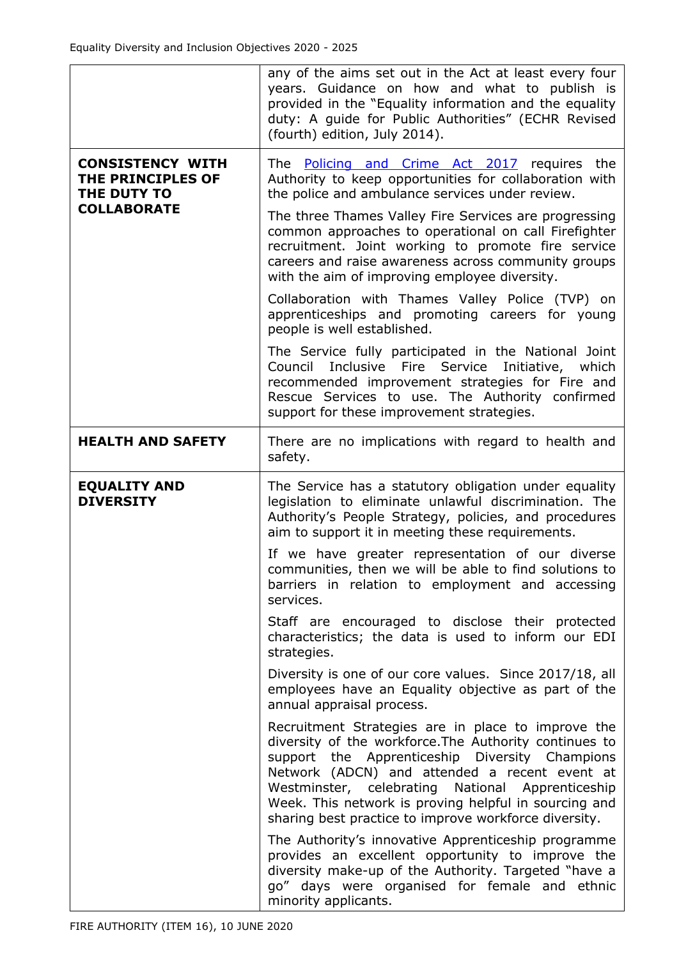|                                                             | any of the aims set out in the Act at least every four<br>years. Guidance on how and what to publish is<br>provided in the "Equality information and the equality<br>duty: A guide for Public Authorities" (ECHR Revised<br>(fourth) edition, July 2014).                                                                                                                             |
|-------------------------------------------------------------|---------------------------------------------------------------------------------------------------------------------------------------------------------------------------------------------------------------------------------------------------------------------------------------------------------------------------------------------------------------------------------------|
| <b>CONSISTENCY WITH</b><br>THE PRINCIPLES OF<br>THE DUTY TO | The <b>Policing and Crime Act 2017</b> requires the<br>Authority to keep opportunities for collaboration with<br>the police and ambulance services under review.                                                                                                                                                                                                                      |
| <b>COLLABORATE</b>                                          | The three Thames Valley Fire Services are progressing<br>common approaches to operational on call Firefighter<br>recruitment. Joint working to promote fire service<br>careers and raise awareness across community groups<br>with the aim of improving employee diversity.                                                                                                           |
|                                                             | Collaboration with Thames Valley Police (TVP) on<br>apprenticeships and promoting careers for young<br>people is well established.                                                                                                                                                                                                                                                    |
|                                                             | The Service fully participated in the National Joint<br>Council Inclusive Fire Service<br>Initiative, which<br>recommended improvement strategies for Fire and<br>Rescue Services to use. The Authority confirmed<br>support for these improvement strategies.                                                                                                                        |
| <b>HEALTH AND SAFETY</b>                                    | There are no implications with regard to health and<br>safety.                                                                                                                                                                                                                                                                                                                        |
| <b>EQUALITY AND</b><br><b>DIVERSITY</b>                     | The Service has a statutory obligation under equality<br>legislation to eliminate unlawful discrimination. The<br>Authority's People Strategy, policies, and procedures<br>aim to support it in meeting these requirements.                                                                                                                                                           |
|                                                             | If we have greater representation of our diverse<br>communities, then we will be able to find solutions to<br>barriers in relation to employment and accessing<br>services.                                                                                                                                                                                                           |
|                                                             | Staff are encouraged to disclose their protected<br>characteristics; the data is used to inform our EDI<br>strategies.                                                                                                                                                                                                                                                                |
|                                                             | Diversity is one of our core values. Since 2017/18, all<br>employees have an Equality objective as part of the<br>annual appraisal process.                                                                                                                                                                                                                                           |
|                                                             | Recruitment Strategies are in place to improve the<br>diversity of the workforce. The Authority continues to<br>support the Apprenticeship Diversity Champions<br>Network (ADCN) and attended a recent event at<br>Westminster, celebrating National Apprenticeship<br>Week. This network is proving helpful in sourcing and<br>sharing best practice to improve workforce diversity. |
|                                                             | The Authority's innovative Apprenticeship programme<br>provides an excellent opportunity to improve the<br>diversity make-up of the Authority. Targeted "have a<br>go" days were organised for female and ethnic<br>minority applicants.                                                                                                                                              |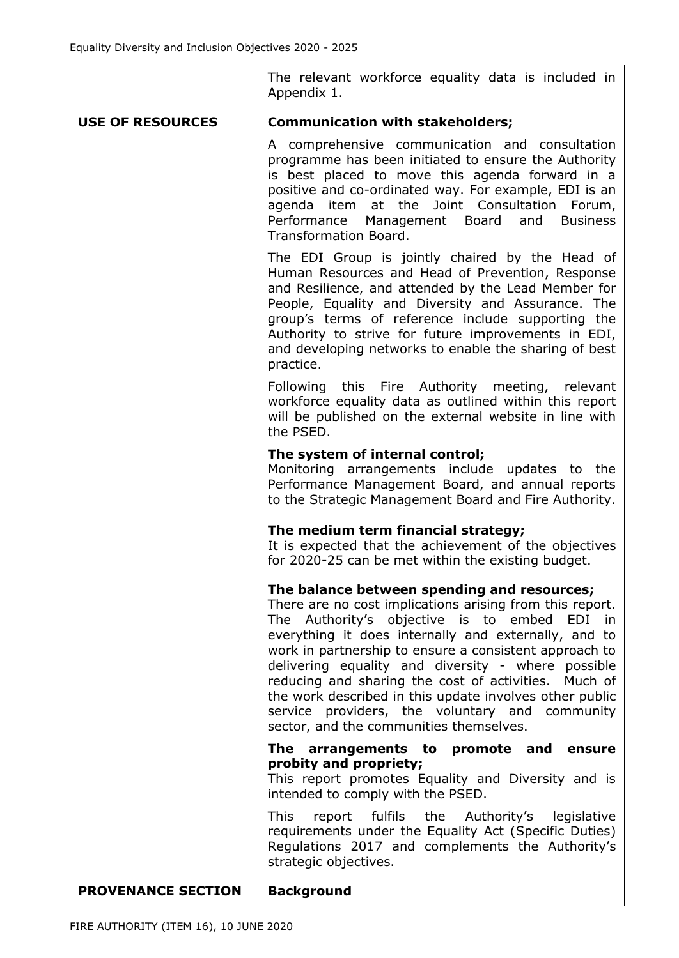| <b>PROVENANCE SECTION</b> | <b>Background</b>                                                                                                                                                                                                                                                                                                                                                                                                                                                                                    |
|---------------------------|------------------------------------------------------------------------------------------------------------------------------------------------------------------------------------------------------------------------------------------------------------------------------------------------------------------------------------------------------------------------------------------------------------------------------------------------------------------------------------------------------|
|                           | <b>This</b><br>report fulfils the Authority's legislative<br>requirements under the Equality Act (Specific Duties)<br>Regulations 2017 and complements the Authority's<br>strategic objectives.                                                                                                                                                                                                                                                                                                      |
|                           | probity and propriety;<br>This report promotes Equality and Diversity and is<br>intended to comply with the PSED.                                                                                                                                                                                                                                                                                                                                                                                    |
|                           | sector, and the communities themselves.<br>The arrangements to promote and ensure                                                                                                                                                                                                                                                                                                                                                                                                                    |
|                           | The balance between spending and resources;<br>There are no cost implications arising from this report.<br>The Authority's objective is to embed EDI in<br>everything it does internally and externally, and to<br>work in partnership to ensure a consistent approach to<br>delivering equality and diversity - where possible<br>reducing and sharing the cost of activities. Much of<br>the work described in this update involves other public<br>service providers, the voluntary and community |
|                           | The medium term financial strategy;<br>It is expected that the achievement of the objectives<br>for 2020-25 can be met within the existing budget.                                                                                                                                                                                                                                                                                                                                                   |
|                           | The system of internal control;<br>Monitoring arrangements include updates to the<br>Performance Management Board, and annual reports<br>to the Strategic Management Board and Fire Authority.                                                                                                                                                                                                                                                                                                       |
|                           | Following this Fire Authority meeting, relevant<br>workforce equality data as outlined within this report<br>will be published on the external website in line with<br>the PSED.                                                                                                                                                                                                                                                                                                                     |
|                           | The EDI Group is jointly chaired by the Head of<br>Human Resources and Head of Prevention, Response<br>and Resilience, and attended by the Lead Member for<br>People, Equality and Diversity and Assurance. The<br>group's terms of reference include supporting the<br>Authority to strive for future improvements in EDI,<br>and developing networks to enable the sharing of best<br>practice.                                                                                                    |
|                           | A comprehensive communication and consultation<br>programme has been initiated to ensure the Authority<br>is best placed to move this agenda forward in a<br>positive and co-ordinated way. For example, EDI is an<br>agenda item at the Joint Consultation Forum,<br>Performance<br>Management Board<br><b>Business</b><br>and<br><b>Transformation Board.</b>                                                                                                                                      |
| <b>USE OF RESOURCES</b>   | <b>Communication with stakeholders;</b>                                                                                                                                                                                                                                                                                                                                                                                                                                                              |
|                           | The relevant workforce equality data is included in<br>Appendix 1.                                                                                                                                                                                                                                                                                                                                                                                                                                   |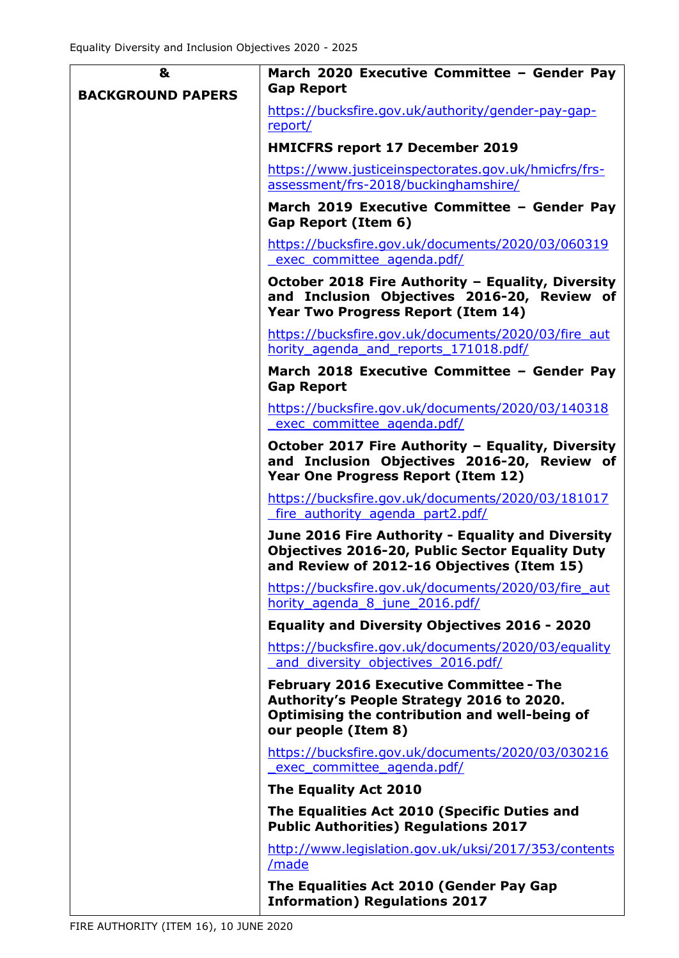| &                        | March 2020 Executive Committee - Gender Pay                                                                                                                         |
|--------------------------|---------------------------------------------------------------------------------------------------------------------------------------------------------------------|
| <b>BACKGROUND PAPERS</b> | <b>Gap Report</b>                                                                                                                                                   |
|                          | https://bucksfire.gov.uk/authority/gender-pay-gap-<br>report/                                                                                                       |
|                          | <b>HMICFRS report 17 December 2019</b>                                                                                                                              |
|                          | https://www.justiceinspectorates.gov.uk/hmicfrs/frs-<br>assessment/frs-2018/buckinghamshire/                                                                        |
|                          | March 2019 Executive Committee - Gender Pay<br>Gap Report (Item 6)                                                                                                  |
|                          | https://bucksfire.gov.uk/documents/2020/03/060319<br>exec committee agenda.pdf/                                                                                     |
|                          | October 2018 Fire Authority - Equality, Diversity<br>and Inclusion Objectives 2016-20, Review of<br>Year Two Progress Report (Item 14)                              |
|                          | https://bucksfire.gov.uk/documents/2020/03/fire aut<br>hority agenda and reports 171018.pdf/                                                                        |
|                          | March 2018 Executive Committee - Gender Pay<br><b>Gap Report</b>                                                                                                    |
|                          | https://bucksfire.gov.uk/documents/2020/03/140318<br>exec committee agenda.pdf/                                                                                     |
|                          | October 2017 Fire Authority - Equality, Diversity<br>and Inclusion Objectives 2016-20, Review of<br>Year One Progress Report (Item 12)                              |
|                          | https://bucksfire.gov.uk/documents/2020/03/181017<br>fire authority agenda part2.pdf/                                                                               |
|                          | June 2016 Fire Authority - Equality and Diversity<br><b>Objectives 2016-20, Public Sector Equality Duty</b><br>and Review of 2012-16 Objectives (Item 15)           |
|                          | https://bucksfire.gov.uk/documents/2020/03/fire_aut<br>hority agenda 8 june 2016.pdf/                                                                               |
|                          | <b>Equality and Diversity Objectives 2016 - 2020</b>                                                                                                                |
|                          | https://bucksfire.gov.uk/documents/2020/03/equality<br>and diversity objectives 2016.pdf/                                                                           |
|                          | <b>February 2016 Executive Committee - The</b><br>Authority's People Strategy 2016 to 2020.<br>Optimising the contribution and well-being of<br>our people (Item 8) |
|                          | https://bucksfire.gov.uk/documents/2020/03/030216<br>exec committee agenda.pdf/                                                                                     |
|                          | The Equality Act 2010                                                                                                                                               |
|                          | The Equalities Act 2010 (Specific Duties and<br><b>Public Authorities) Regulations 2017</b>                                                                         |
|                          | http://www.legislation.gov.uk/uksi/2017/353/contents<br>/made                                                                                                       |
|                          | The Equalities Act 2010 (Gender Pay Gap<br><b>Information) Regulations 2017</b>                                                                                     |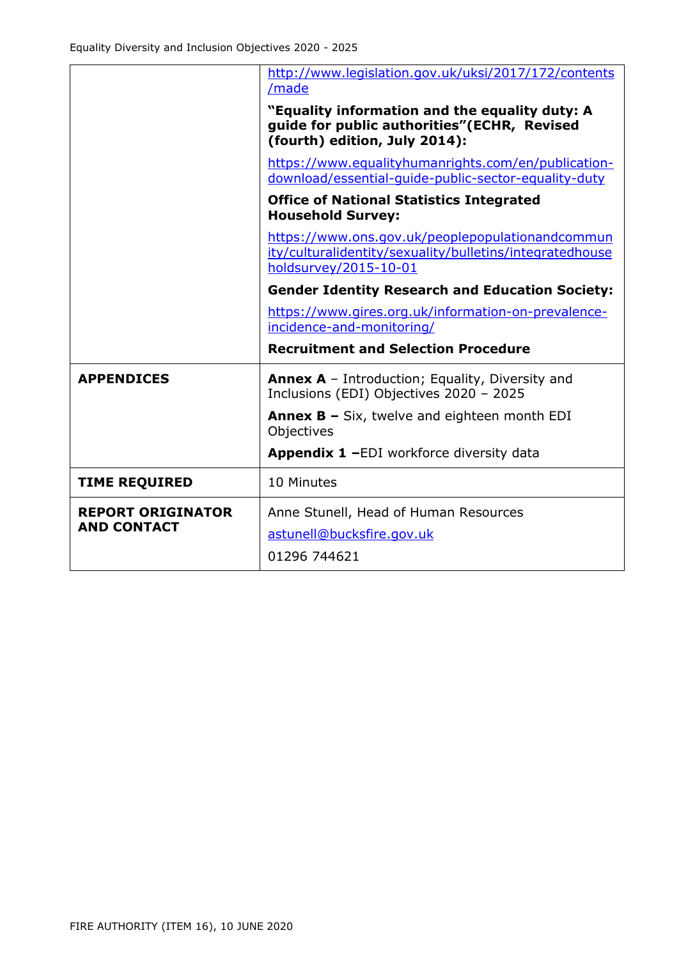|                          | http://www.legislation.gov.uk/uksi/2017/172/contents<br>/made                                                                         |
|--------------------------|---------------------------------------------------------------------------------------------------------------------------------------|
|                          | "Equality information and the equality duty: A<br>guide for public authorities"(ECHR, Revised<br>(fourth) edition, July 2014):        |
|                          | https://www.equalityhumanrights.com/en/publication-<br>download/essential-quide-public-sector-equality-duty                           |
|                          | <b>Office of National Statistics Integrated</b><br><b>Household Survey:</b>                                                           |
|                          | https://www.ons.gov.uk/peoplepopulationandcommun<br>ity/culturalidentity/sexuality/bulletins/integratedhouse<br>holdsurvey/2015-10-01 |
|                          | <b>Gender Identity Research and Education Society:</b>                                                                                |
|                          | https://www.gires.org.uk/information-on-prevalence-                                                                                   |
|                          | incidence-and-monitoring/                                                                                                             |
|                          | <b>Recruitment and Selection Procedure</b>                                                                                            |
| <b>APPENDICES</b>        | <b>Annex A</b> – Introduction; Equality, Diversity and<br>Inclusions (EDI) Objectives 2020 - 2025                                     |
|                          | <b>Annex B - Six, twelve and eighteen month EDI</b><br>Objectives                                                                     |
|                          | Appendix 1 -EDI workforce diversity data                                                                                              |
| <b>TIME REQUIRED</b>     | 10 Minutes                                                                                                                            |
| <b>REPORT ORIGINATOR</b> | Anne Stunell, Head of Human Resources                                                                                                 |
| <b>AND CONTACT</b>       | astunell@bucksfire.gov.uk                                                                                                             |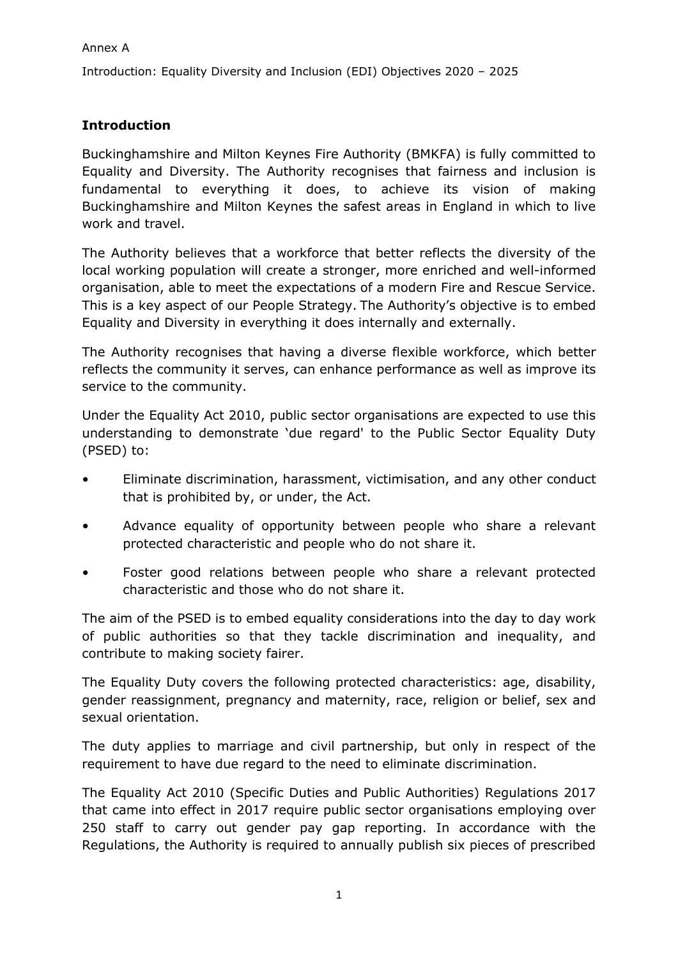Introduction: Equality Diversity and Inclusion (EDI) Objectives 2020 – 2025

### **Introduction**

Buckinghamshire and Milton Keynes Fire Authority (BMKFA) is fully committed to Equality and Diversity. The Authority recognises that fairness and inclusion is fundamental to everything it does, to achieve its vision of making Buckinghamshire and Milton Keynes the safest areas in England in which to live work and travel.

The Authority believes that a workforce that better reflects the diversity of the local working population will create a stronger, more enriched and well-informed organisation, able to meet the expectations of a modern Fire and Rescue Service. This is a key aspect of our People Strategy. The Authority's objective is to embed Equality and Diversity in everything it does internally and externally.

The Authority recognises that having a diverse flexible workforce, which better reflects the community it serves, can enhance performance as well as improve its service to the community.

Under the Equality Act 2010, public sector organisations are expected to use this understanding to demonstrate 'due regard' to the Public Sector Equality Duty (PSED) to:

- Eliminate discrimination, harassment, victimisation, and any other conduct that is prohibited by, or under, the Act.
- Advance equality of opportunity between people who share a relevant protected characteristic and people who do not share it.
- Foster good relations between people who share a relevant protected characteristic and those who do not share it.

The aim of the PSED is to embed equality considerations into the day to day work of public authorities so that they tackle discrimination and inequality, and contribute to making society fairer.

The Equality Duty covers the following protected characteristics: age, disability, gender reassignment, pregnancy and maternity, race, religion or belief, sex and sexual orientation.

The duty applies to marriage and civil partnership, but only in respect of the requirement to have due regard to the need to eliminate discrimination.

The Equality Act 2010 (Specific Duties and Public Authorities) Regulations 2017 that came into effect in 2017 require public sector organisations employing over 250 staff to carry out gender pay gap reporting. In accordance with the Regulations, the Authority is required to annually publish six pieces of prescribed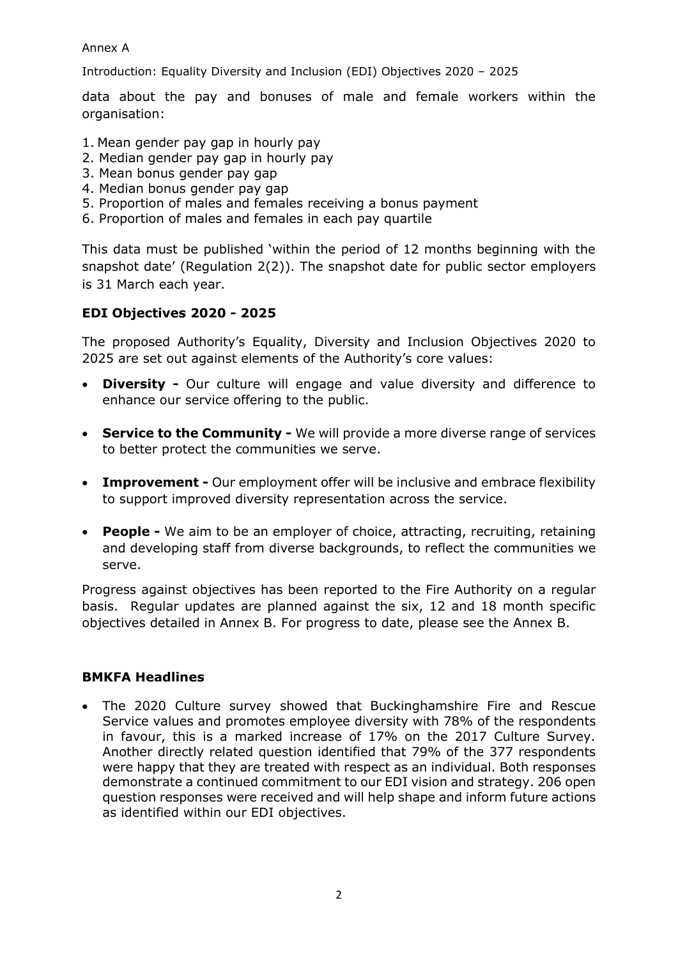### Annex A

Introduction: Equality Diversity and Inclusion (EDI) Objectives 2020 – 2025

data about the pay and bonuses of male and female workers within the organisation:

- 1. Mean gender pay gap in hourly pay
- 2. Median gender pay gap in hourly pay
- 3. Mean bonus gender pay gap
- 4. Median bonus gender pay gap
- 5. Proportion of males and females receiving a bonus payment
- 6. Proportion of males and females in each pay quartile

This data must be published 'within the period of 12 months beginning with the snapshot date' (Regulation 2(2)). The snapshot date for public sector employers is 31 March each year.

### **EDI Objectives 2020 - 2025**

The proposed Authority's Equality, Diversity and Inclusion Objectives 2020 to 2025 are set out against elements of the Authority's core values:

- **Diversity -** Our culture will engage and value diversity and difference to enhance our service offering to the public.
- **Service to the Community -** We will provide a more diverse range of services to better protect the communities we serve.
- **Improvement -** Our employment offer will be inclusive and embrace flexibility to support improved diversity representation across the service.
- **People -** We aim to be an employer of choice, attracting, recruiting, retaining and developing staff from diverse backgrounds, to reflect the communities we serve.

Progress against objectives has been reported to the Fire Authority on a regular basis. Regular updates are planned against the six, 12 and 18 month specific objectives detailed in Annex B. For progress to date, please see the Annex B.

### **BMKFA Headlines**

• The 2020 Culture survey showed that Buckinghamshire Fire and Rescue Service values and promotes employee diversity with 78% of the respondents in favour, this is a marked increase of 17% on the 2017 Culture Survey. Another directly related question identified that 79% of the 377 respondents were happy that they are treated with respect as an individual. Both responses demonstrate a continued commitment to our EDI vision and strategy. 206 open question responses were received and will help shape and inform future actions as identified within our EDI objectives.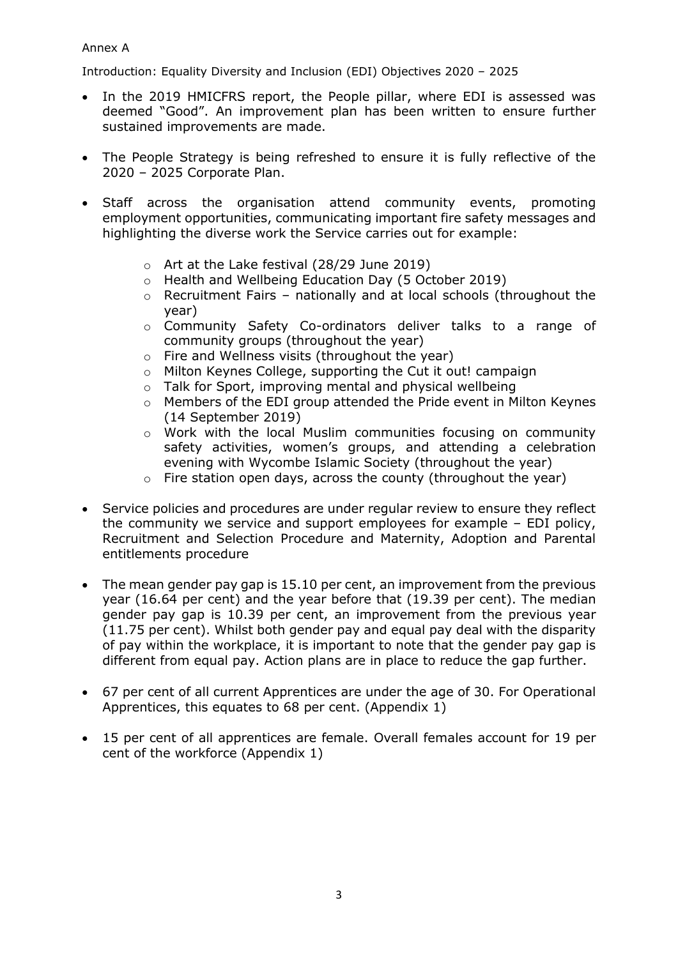### Annex A

Introduction: Equality Diversity and Inclusion (EDI) Objectives 2020 – 2025

- In the 2019 HMICFRS report, the People pillar, where EDI is assessed was deemed "Good". An improvement plan has been written to ensure further sustained improvements are made.
- The People Strategy is being refreshed to ensure it is fully reflective of the 2020 – 2025 Corporate Plan.
- Staff across the organisation attend community events, promoting employment opportunities, communicating important fire safety messages and highlighting the diverse work the Service carries out for example:
	- o Art at the Lake festival (28/29 June 2019)
	- o Health and Wellbeing Education Day (5 October 2019)
	- o Recruitment Fairs nationally and at local schools (throughout the year)
	- o Community Safety Co-ordinators deliver talks to a range of community groups (throughout the year)
	- o Fire and Wellness visits (throughout the year)
	- o Milton Keynes College, supporting the Cut it out! campaign
	- o Talk for Sport, improving mental and physical wellbeing
	- o Members of the EDI group attended the Pride event in Milton Keynes (14 September 2019)
	- o Work with the local Muslim communities focusing on community safety activities, women's groups, and attending a celebration evening with Wycombe Islamic Society (throughout the year)
	- o Fire station open days, across the county (throughout the year)
- Service policies and procedures are under regular review to ensure they reflect the community we service and support employees for example – EDI policy, Recruitment and Selection Procedure and Maternity, Adoption and Parental entitlements procedure
- The mean gender pay gap is 15.10 per cent, an improvement from the previous year (16.64 per cent) and the year before that (19.39 per cent). The median gender pay gap is 10.39 per cent, an improvement from the previous year (11.75 per cent). Whilst both gender pay and equal pay deal with the disparity of pay within the workplace, it is important to note that the gender pay gap is different from equal pay. Action plans are in place to reduce the gap further.
- 67 per cent of all current Apprentices are under the age of 30. For Operational Apprentices, this equates to 68 per cent. (Appendix 1)
- 15 per cent of all apprentices are female. Overall females account for 19 per cent of the workforce (Appendix 1)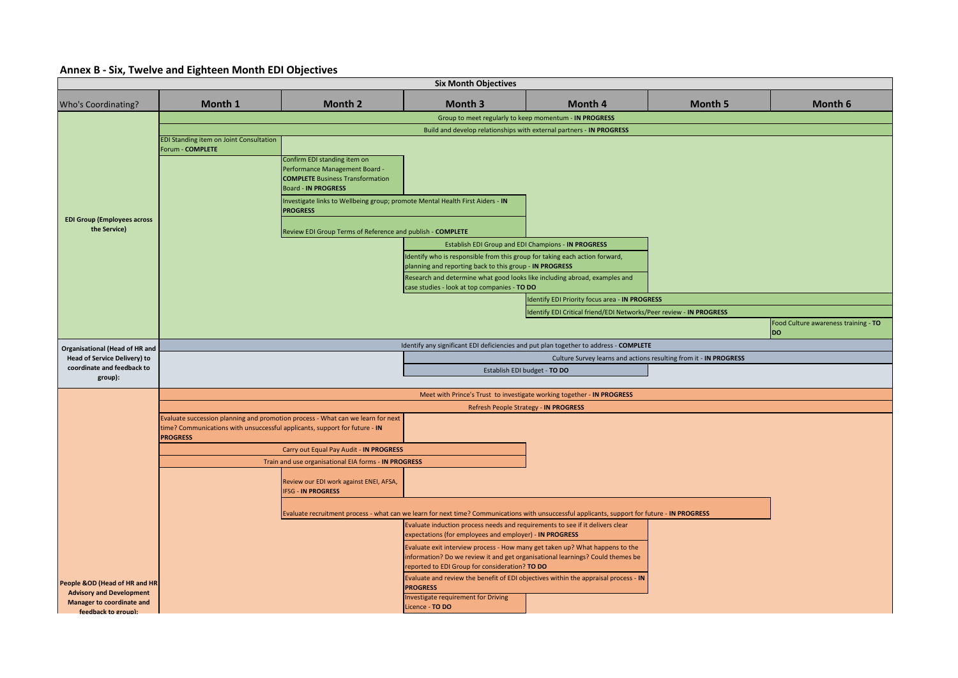### **Annex B - Six, Twelve and Eighteen Month EDI Objectives**

|                                                                                     | <b>Six Month Objectives</b>                                                                   |                                                                                                                                                                                                                                                                                                           |                                                                                                                                                                                                                      |                                                                                                                                               |                |                                      |  |  |  |
|-------------------------------------------------------------------------------------|-----------------------------------------------------------------------------------------------|-----------------------------------------------------------------------------------------------------------------------------------------------------------------------------------------------------------------------------------------------------------------------------------------------------------|----------------------------------------------------------------------------------------------------------------------------------------------------------------------------------------------------------------------|-----------------------------------------------------------------------------------------------------------------------------------------------|----------------|--------------------------------------|--|--|--|
| <b>Who's Coordinating?</b>                                                          | Month 1                                                                                       | Month 2                                                                                                                                                                                                                                                                                                   | <b>Month 3</b>                                                                                                                                                                                                       | Month 4                                                                                                                                       | <b>Month 5</b> | Month 6                              |  |  |  |
|                                                                                     |                                                                                               | Group to meet regularly to keep momentum - IN PROGRESS                                                                                                                                                                                                                                                    |                                                                                                                                                                                                                      |                                                                                                                                               |                |                                      |  |  |  |
|                                                                                     | Build and develop relationships with external partners - IN PROGRESS                          |                                                                                                                                                                                                                                                                                                           |                                                                                                                                                                                                                      |                                                                                                                                               |                |                                      |  |  |  |
| <b>EDI Group (Employees across</b><br>the Service)                                  | EDI Standing item on Joint Consultation<br>Forum - COMPLETE                                   | Confirm EDI standing item on<br>Performance Management Board -<br><b>COMPLETE Business Transformation</b><br><b>Board - IN PROGRESS</b><br>Investigate links to Wellbeing group; promote Mental Health First Aiders - IN<br><b>PROGRESS</b><br>Review EDI Group Terms of Reference and publish - COMPLETE | Identify who is responsible from this group for taking each action forward,<br>planning and reporting back to this group - IN PROGRESS<br>Research and determine what good looks like including abroad, examples and | Establish EDI Group and EDI Champions - IN PROGRESS                                                                                           |                |                                      |  |  |  |
|                                                                                     |                                                                                               |                                                                                                                                                                                                                                                                                                           | case studies - look at top companies - TO DO                                                                                                                                                                         |                                                                                                                                               |                |                                      |  |  |  |
|                                                                                     |                                                                                               |                                                                                                                                                                                                                                                                                                           |                                                                                                                                                                                                                      | Identify EDI Priority focus area - IN PROGRESS                                                                                                |                |                                      |  |  |  |
|                                                                                     |                                                                                               |                                                                                                                                                                                                                                                                                                           |                                                                                                                                                                                                                      | Identify EDI Critical friend/EDI Networks/Peer review - IN PROGRESS                                                                           |                | Food Culture awareness training - TO |  |  |  |
|                                                                                     |                                                                                               |                                                                                                                                                                                                                                                                                                           |                                                                                                                                                                                                                      |                                                                                                                                               |                | <b>DO</b>                            |  |  |  |
| <b>Organisational (Head of HR and</b>                                               |                                                                                               |                                                                                                                                                                                                                                                                                                           |                                                                                                                                                                                                                      | Identify any significant EDI deficiencies and put plan together to address - COMPLETE                                                         |                |                                      |  |  |  |
| <b>Head of Service Delivery) to</b>                                                 |                                                                                               |                                                                                                                                                                                                                                                                                                           |                                                                                                                                                                                                                      | Culture Survey learns and actions resulting from it - IN PROGRESS                                                                             |                |                                      |  |  |  |
| coordinate and feedback to<br>group):                                               |                                                                                               |                                                                                                                                                                                                                                                                                                           |                                                                                                                                                                                                                      | Establish EDI budget - TO DO                                                                                                                  |                |                                      |  |  |  |
|                                                                                     |                                                                                               |                                                                                                                                                                                                                                                                                                           |                                                                                                                                                                                                                      | Meet with Prince's Trust to investigate working together - IN PROGRESS                                                                        |                |                                      |  |  |  |
|                                                                                     |                                                                                               |                                                                                                                                                                                                                                                                                                           |                                                                                                                                                                                                                      | Refresh People Strategy - IN PROGRESS                                                                                                         |                |                                      |  |  |  |
|                                                                                     | time? Communications with unsuccessful applicants, support for future - IN<br><b>PROGRESS</b> | Evaluate succession planning and promotion process - What can we learn for next                                                                                                                                                                                                                           |                                                                                                                                                                                                                      |                                                                                                                                               |                |                                      |  |  |  |
|                                                                                     |                                                                                               | Carry out Equal Pay Audit - IN PROGRESS                                                                                                                                                                                                                                                                   |                                                                                                                                                                                                                      |                                                                                                                                               |                |                                      |  |  |  |
|                                                                                     |                                                                                               | Train and use organisational EIA forms - IN PROGRESS                                                                                                                                                                                                                                                      |                                                                                                                                                                                                                      |                                                                                                                                               |                |                                      |  |  |  |
|                                                                                     |                                                                                               | Review our EDI work against ENEI, AFSA,<br><b>FSG - IN PROGRESS</b>                                                                                                                                                                                                                                       |                                                                                                                                                                                                                      |                                                                                                                                               |                |                                      |  |  |  |
|                                                                                     |                                                                                               |                                                                                                                                                                                                                                                                                                           |                                                                                                                                                                                                                      | Evaluate recruitment process - what can we learn for next time? Communications with unsuccessful applicants, support for future - IN PROGRESS |                |                                      |  |  |  |
|                                                                                     |                                                                                               |                                                                                                                                                                                                                                                                                                           | Evaluate induction process needs and requirements to see if it delivers clear<br>expectations (for employees and employer) - IN PROGRESS                                                                             |                                                                                                                                               |                |                                      |  |  |  |
|                                                                                     |                                                                                               |                                                                                                                                                                                                                                                                                                           | Evaluate exit interview process - How many get taken up? What happens to the<br>information? Do we review it and get organisational learnings? Could themes be<br>reported to EDI Group for consideration? TO DO     |                                                                                                                                               |                |                                      |  |  |  |
| People &OD (Head of HR and HR                                                       |                                                                                               |                                                                                                                                                                                                                                                                                                           | <b>PROGRESS</b>                                                                                                                                                                                                      | Evaluate and review the benefit of EDI objectives within the appraisal process - IN                                                           |                |                                      |  |  |  |
| <b>Advisory and Development</b><br>Manager to coordinate and<br>feedback to group): |                                                                                               |                                                                                                                                                                                                                                                                                                           | Investigate requirement for Driving<br>Licence - TO DO                                                                                                                                                               |                                                                                                                                               |                |                                      |  |  |  |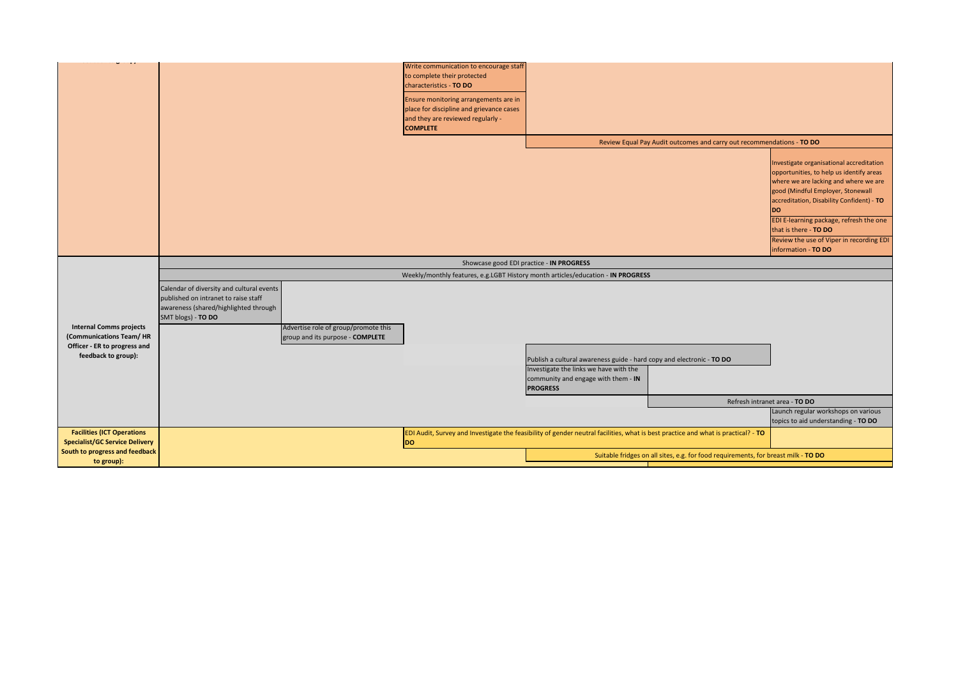| $\frac{1}{2}$                         |                                           |                                      |                                                                                                                                   |                                                                       |                                                                                    |                                           |
|---------------------------------------|-------------------------------------------|--------------------------------------|-----------------------------------------------------------------------------------------------------------------------------------|-----------------------------------------------------------------------|------------------------------------------------------------------------------------|-------------------------------------------|
|                                       |                                           |                                      | Write communication to encourage staff                                                                                            |                                                                       |                                                                                    |                                           |
|                                       |                                           |                                      | to complete their protected                                                                                                       |                                                                       |                                                                                    |                                           |
|                                       |                                           |                                      | characteristics - TO DO                                                                                                           |                                                                       |                                                                                    |                                           |
|                                       |                                           |                                      | Ensure monitoring arrangements are in                                                                                             |                                                                       |                                                                                    |                                           |
|                                       |                                           |                                      | place for discipline and grievance cases                                                                                          |                                                                       |                                                                                    |                                           |
|                                       |                                           |                                      | and they are reviewed regularly -                                                                                                 |                                                                       |                                                                                    |                                           |
|                                       |                                           |                                      | <b>COMPLETE</b>                                                                                                                   |                                                                       |                                                                                    |                                           |
|                                       |                                           |                                      |                                                                                                                                   |                                                                       |                                                                                    |                                           |
|                                       |                                           |                                      |                                                                                                                                   |                                                                       | Review Equal Pay Audit outcomes and carry out recommendations - TO DO              |                                           |
|                                       |                                           |                                      |                                                                                                                                   |                                                                       |                                                                                    |                                           |
|                                       |                                           |                                      |                                                                                                                                   |                                                                       |                                                                                    | Investigate organisational accreditation  |
|                                       |                                           |                                      |                                                                                                                                   |                                                                       |                                                                                    | opportunities, to help us identify areas  |
|                                       |                                           |                                      |                                                                                                                                   |                                                                       |                                                                                    | where we are lacking and where we are     |
|                                       |                                           |                                      |                                                                                                                                   |                                                                       |                                                                                    | good (Mindful Employer, Stonewall         |
|                                       |                                           |                                      |                                                                                                                                   |                                                                       |                                                                                    | accreditation, Disability Confident) - TO |
|                                       |                                           |                                      |                                                                                                                                   |                                                                       |                                                                                    | <b>DO</b>                                 |
|                                       |                                           |                                      |                                                                                                                                   |                                                                       |                                                                                    | EDI E-learning package, refresh the one   |
|                                       |                                           |                                      |                                                                                                                                   |                                                                       |                                                                                    | that is there - TO DO                     |
|                                       |                                           |                                      |                                                                                                                                   |                                                                       |                                                                                    | Review the use of Viper in recording EDI  |
|                                       |                                           |                                      |                                                                                                                                   |                                                                       |                                                                                    | information - TO DO                       |
|                                       |                                           |                                      | Showcase good EDI practice - IN PROGRESS                                                                                          |                                                                       |                                                                                    |                                           |
|                                       |                                           |                                      | Weekly/monthly features, e.g.LGBT History month articles/education - IN PROGRESS                                                  |                                                                       |                                                                                    |                                           |
|                                       | Calendar of diversity and cultural events |                                      |                                                                                                                                   |                                                                       |                                                                                    |                                           |
|                                       | published on intranet to raise staff      |                                      |                                                                                                                                   |                                                                       |                                                                                    |                                           |
|                                       | awareness (shared/highlighted through     |                                      |                                                                                                                                   |                                                                       |                                                                                    |                                           |
|                                       | SMT blogs) - TO DO                        |                                      |                                                                                                                                   |                                                                       |                                                                                    |                                           |
| <b>Internal Comms projects</b>        |                                           | Advertise role of group/promote this |                                                                                                                                   |                                                                       |                                                                                    |                                           |
| (Communications Team/HR               |                                           | group and its purpose - COMPLETE     |                                                                                                                                   |                                                                       |                                                                                    |                                           |
| Officer - ER to progress and          |                                           |                                      |                                                                                                                                   |                                                                       |                                                                                    |                                           |
| feedback to group):                   |                                           |                                      |                                                                                                                                   |                                                                       |                                                                                    |                                           |
|                                       |                                           |                                      |                                                                                                                                   | Publish a cultural awareness guide - hard copy and electronic - TO DO |                                                                                    |                                           |
|                                       |                                           |                                      |                                                                                                                                   | Investigate the links we have with the                                |                                                                                    |                                           |
|                                       |                                           |                                      |                                                                                                                                   | community and engage with them - IN                                   |                                                                                    |                                           |
|                                       |                                           |                                      |                                                                                                                                   | <b>PROGRESS</b>                                                       |                                                                                    |                                           |
|                                       |                                           |                                      |                                                                                                                                   |                                                                       |                                                                                    | Refresh intranet area - TO DO             |
|                                       |                                           |                                      |                                                                                                                                   |                                                                       |                                                                                    | Launch regular workshops on various       |
|                                       |                                           |                                      |                                                                                                                                   |                                                                       |                                                                                    | topics to aid understanding - TO DO       |
| <b>Facilities (ICT Operations</b>     |                                           |                                      | EDI Audit, Survey and Investigate the feasibility of gender neutral facilities, what is best practice and what is practical? - TO |                                                                       |                                                                                    |                                           |
| <b>Specialist/GC Service Delivery</b> |                                           |                                      | <b>DO</b>                                                                                                                         |                                                                       |                                                                                    |                                           |
| South to progress and feedback        |                                           |                                      |                                                                                                                                   |                                                                       | Suitable fridges on all sites, e.g. for food requirements, for breast milk - TO DO |                                           |
| to group):                            |                                           |                                      |                                                                                                                                   |                                                                       |                                                                                    |                                           |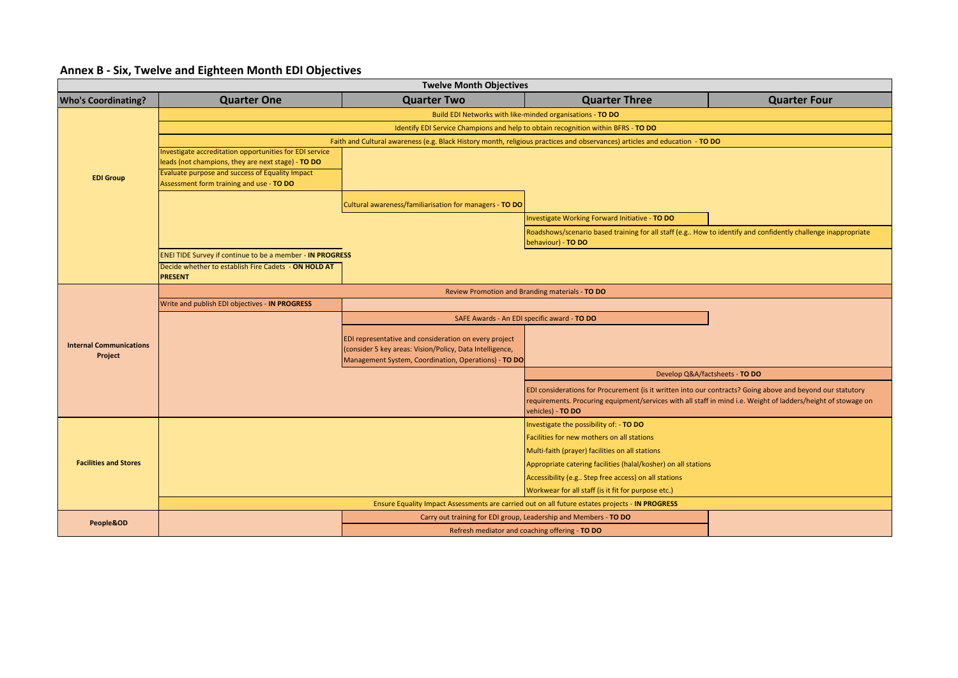## **Annex B - Six, Twelve and Eighteen Month EDI Objectives**

|                                | <b>Twelve Month Objectives</b>                                                                                              |                                                          |                                                                                                                                    |                                |  |  |  |  |
|--------------------------------|-----------------------------------------------------------------------------------------------------------------------------|----------------------------------------------------------|------------------------------------------------------------------------------------------------------------------------------------|--------------------------------|--|--|--|--|
| <b>Who's Coordinating?</b>     | <b>Quarter One</b>                                                                                                          | <b>Quarter Two</b>                                       | <b>Quarter Three</b>                                                                                                               | <b>Quarter Four</b>            |  |  |  |  |
|                                | Build EDI Networks with like-minded organisations - TO DO                                                                   |                                                          |                                                                                                                                    |                                |  |  |  |  |
|                                | Identify EDI Service Champions and help to obtain recognition within BFRS - TO DO                                           |                                                          |                                                                                                                                    |                                |  |  |  |  |
|                                | Faith and Cultural awareness (e.g. Black History month, religious practices and observances) articles and education - TO DO |                                                          |                                                                                                                                    |                                |  |  |  |  |
|                                | nvestigate accreditation opportunities for EDI service                                                                      |                                                          |                                                                                                                                    |                                |  |  |  |  |
|                                | leads (not champions, they are next stage) - TO DO<br>Evaluate purpose and success of Equality Impact                       |                                                          |                                                                                                                                    |                                |  |  |  |  |
| <b>EDI Group</b>               | Assessment form training and use - TO DO                                                                                    |                                                          |                                                                                                                                    |                                |  |  |  |  |
|                                |                                                                                                                             |                                                          |                                                                                                                                    |                                |  |  |  |  |
|                                |                                                                                                                             | Cultural awareness/familiarisation for managers - TO DO  |                                                                                                                                    |                                |  |  |  |  |
|                                |                                                                                                                             |                                                          | Investigate Working Forward Initiative - TO DO                                                                                     |                                |  |  |  |  |
|                                |                                                                                                                             |                                                          | Roadshows/scenario based training for all staff (e.g How to identify and confidently challenge inappropriate<br>behaviour) - TO DO |                                |  |  |  |  |
|                                | <b>ENEI TIDE Survey if continue to be a member - IN PROGRESS</b>                                                            |                                                          |                                                                                                                                    |                                |  |  |  |  |
|                                | Decide whether to establish Fire Cadets - ON HOLD AT                                                                        |                                                          |                                                                                                                                    |                                |  |  |  |  |
|                                | <b>PRESENT</b>                                                                                                              |                                                          |                                                                                                                                    |                                |  |  |  |  |
|                                | Review Promotion and Branding materials - TO DO                                                                             |                                                          |                                                                                                                                    |                                |  |  |  |  |
|                                | Write and publish EDI objectives - IN PROGRESS                                                                              |                                                          |                                                                                                                                    |                                |  |  |  |  |
|                                |                                                                                                                             |                                                          | SAFE Awards - An EDI specific award - TO DO                                                                                        |                                |  |  |  |  |
| <b>Internal Communications</b> |                                                                                                                             | EDI representative and consideration on every project    |                                                                                                                                    |                                |  |  |  |  |
| Project                        |                                                                                                                             | (consider 5 key areas: Vision/Policy, Data Intelligence, |                                                                                                                                    |                                |  |  |  |  |
|                                |                                                                                                                             | Management System, Coordination, Operations) - TO DO     |                                                                                                                                    |                                |  |  |  |  |
|                                |                                                                                                                             |                                                          |                                                                                                                                    | Develop Q&A/factsheets - TO DO |  |  |  |  |
|                                |                                                                                                                             |                                                          | EDI considerations for Procurement (is it written into our contracts? Going above and beyond our statutory                         |                                |  |  |  |  |
|                                |                                                                                                                             |                                                          | requirements. Procuring equipment/services with all staff in mind i.e. Weight of ladders/height of stowage on<br>vehicles) - TO DO |                                |  |  |  |  |
|                                |                                                                                                                             |                                                          | Investigate the possibility of: - TO DO                                                                                            |                                |  |  |  |  |
|                                |                                                                                                                             |                                                          | Facilities for new mothers on all stations                                                                                         |                                |  |  |  |  |
|                                |                                                                                                                             |                                                          | Multi-faith (prayer) facilities on all stations                                                                                    |                                |  |  |  |  |
| <b>Facilities and Stores</b>   |                                                                                                                             |                                                          | Appropriate catering facilities (halal/kosher) on all stations                                                                     |                                |  |  |  |  |
|                                |                                                                                                                             |                                                          | Accessibility (e.g Step free access) on all stations                                                                               |                                |  |  |  |  |
|                                |                                                                                                                             |                                                          | Workwear for all staff (is it fit for purpose etc.)                                                                                |                                |  |  |  |  |
|                                |                                                                                                                             |                                                          | Ensure Equality Impact Assessments are carried out on all future estates projects - IN PROGRESS                                    |                                |  |  |  |  |
| People&OD                      |                                                                                                                             |                                                          | Carry out training for EDI group, Leadership and Members - TO DO                                                                   |                                |  |  |  |  |
|                                |                                                                                                                             |                                                          | Refresh mediator and coaching offering - TO DO                                                                                     |                                |  |  |  |  |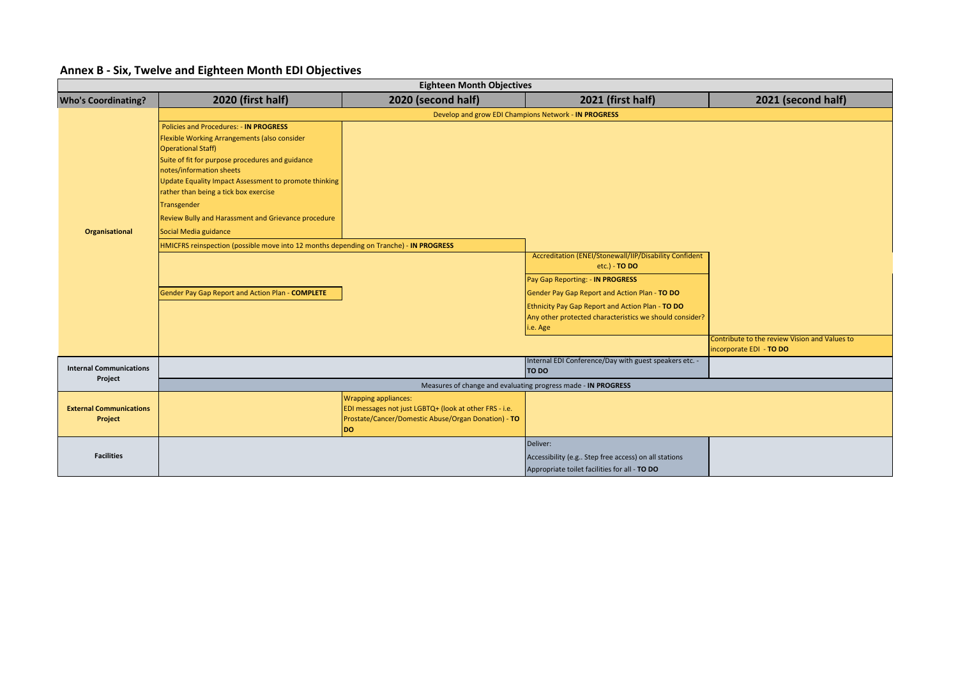|                                           |                                                                                                                                                                                                                                                                                                                                                                                                                                                                                                       | <b>Eighteen Month Objectives</b>                                                                                                                          |                                                                                                                                                                                                                                                                                                |                                                                          |
|-------------------------------------------|-------------------------------------------------------------------------------------------------------------------------------------------------------------------------------------------------------------------------------------------------------------------------------------------------------------------------------------------------------------------------------------------------------------------------------------------------------------------------------------------------------|-----------------------------------------------------------------------------------------------------------------------------------------------------------|------------------------------------------------------------------------------------------------------------------------------------------------------------------------------------------------------------------------------------------------------------------------------------------------|--------------------------------------------------------------------------|
| <b>Who's Coordinating?</b>                | 2020 (first half)                                                                                                                                                                                                                                                                                                                                                                                                                                                                                     | 2020 (second half)                                                                                                                                        | 2021 (first half)                                                                                                                                                                                                                                                                              | 2021 (second half)                                                       |
|                                           |                                                                                                                                                                                                                                                                                                                                                                                                                                                                                                       |                                                                                                                                                           | Develop and grow EDI Champions Network - IN PROGRESS                                                                                                                                                                                                                                           |                                                                          |
| <b>Organisational</b>                     | <b>Policies and Procedures: - IN PROGRESS</b><br>Flexible Working Arrangements (also consider<br><b>Operational Staff)</b><br>Suite of fit for purpose procedures and guidance<br>notes/information sheets<br>Update Equality Impact Assessment to promote thinking<br>rather than being a tick box exercise<br>Transgender<br>Review Bully and Harassment and Grievance procedure<br>Social Media guidance<br>HMICFRS reinspection (possible move into 12 months depending on Tranche) - IN PROGRESS |                                                                                                                                                           |                                                                                                                                                                                                                                                                                                |                                                                          |
|                                           | Gender Pay Gap Report and Action Plan - COMPLETE                                                                                                                                                                                                                                                                                                                                                                                                                                                      |                                                                                                                                                           | Accreditation (ENEI/Stonewall/IIP/Disability Confident<br>etc.) - <b>TO DO</b><br>Pay Gap Reporting: - IN PROGRESS<br>Gender Pay Gap Report and Action Plan - TO DO<br>Ethnicity Pay Gap Report and Action Plan - TO DO<br>Any other protected characteristics we should consider?<br>i.e. Age |                                                                          |
|                                           |                                                                                                                                                                                                                                                                                                                                                                                                                                                                                                       |                                                                                                                                                           |                                                                                                                                                                                                                                                                                                | Contribute to the review Vision and Values to<br>incorporate EDI - TO DO |
| <b>Internal Communications</b>            |                                                                                                                                                                                                                                                                                                                                                                                                                                                                                                       |                                                                                                                                                           | Internal EDI Conference/Day with guest speakers etc. -<br>TO DO                                                                                                                                                                                                                                |                                                                          |
| Project                                   |                                                                                                                                                                                                                                                                                                                                                                                                                                                                                                       |                                                                                                                                                           | Measures of change and evaluating progress made - IN PROGRESS                                                                                                                                                                                                                                  |                                                                          |
| <b>External Communications</b><br>Project |                                                                                                                                                                                                                                                                                                                                                                                                                                                                                                       | <b>Wrapping appliances:</b><br>EDI messages not just LGBTQ+ (look at other FRS - i.e.<br>Prostate/Cancer/Domestic Abuse/Organ Donation) - TO<br><b>DO</b> |                                                                                                                                                                                                                                                                                                |                                                                          |
| <b>Facilities</b>                         |                                                                                                                                                                                                                                                                                                                                                                                                                                                                                                       |                                                                                                                                                           | Deliver:<br>Accessibility (e.g Step free access) on all stations<br>Appropriate toilet facilities for all - TO DO                                                                                                                                                                              |                                                                          |

### **Annex B - Six, Twelve and Eighteen Month EDI Objectives**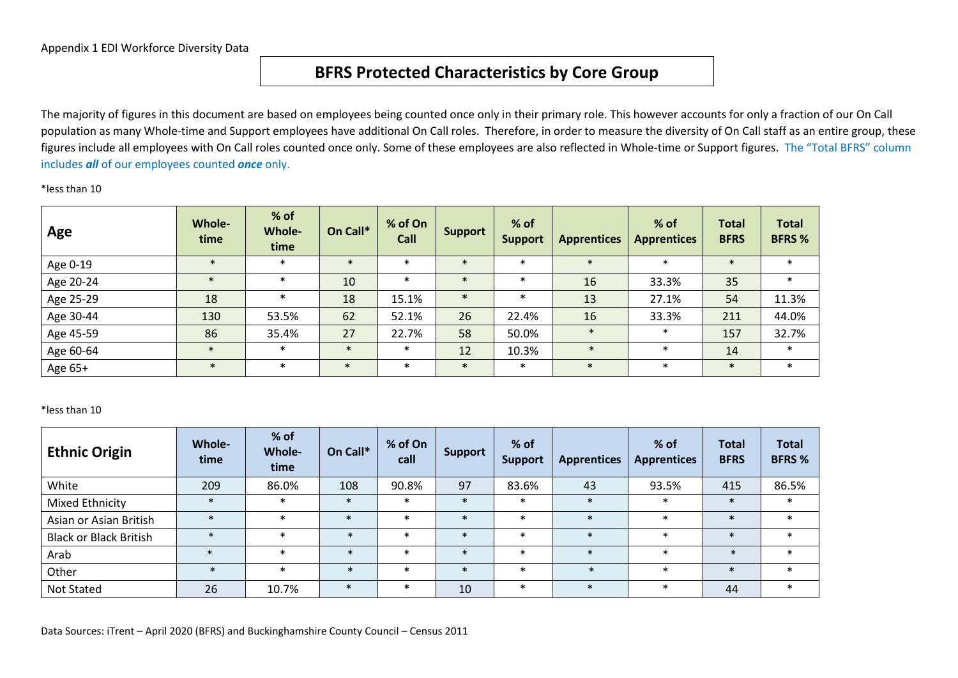## **BFRS Protected Characteristics by Core Group**

The majority of figures in this document are based on employees being counted once only in their primary role. This however accounts for only a fraction of our On Call population as many Whole-time and Support employees have additional On Call roles. Therefore, in order to measure the diversity of On Call staff as an entire group, these figures include all employees with On Call roles counted once only. Some of these employees are also reflected in Whole-time or Support figures. The "Total BFRS" column includes *all* of our employees counted *once* only.

#### \*less than 10

| Age       | <b>Whole-</b><br>time | % of<br><b>Whole-</b><br>time | On Call*        | % of On<br>Call | <b>Support</b> | % of<br><b>Support</b> | <b>Apprentices</b> | % of<br><b>Apprentices</b> | <b>Total</b><br><b>BFRS</b> | <b>Total</b><br><b>BFRS %</b> |
|-----------|-----------------------|-------------------------------|-----------------|-----------------|----------------|------------------------|--------------------|----------------------------|-----------------------------|-------------------------------|
| Age 0-19  | $\ast$                | $\ast$                        | $\ast$          | $\ast$          | $\ast$         | $\ast$                 | $\star$            | $\ast$                     | $\ast$                      | $\ast$                        |
| Age 20-24 | $\ast$                | $\ast$                        | 10 <sup>°</sup> | $\ast$          |                | $\ast$                 | 16                 | 33.3%                      | 35                          | $\ast$                        |
| Age 25-29 | 18                    | $\ast$                        | 18              | 15.1%           | $\ast$         | $\ast$                 | 13                 | 27.1%                      | 54                          | 11.3%                         |
| Age 30-44 | 130                   | 53.5%                         | 62              | 52.1%           | 26             | 22.4%                  | 16                 | 33.3%                      | 211                         | 44.0%                         |
| Age 45-59 | 86                    | 35.4%                         | 27              | 22.7%           | 58             | 50.0%                  | $\ast$             | $\ast$                     | 157                         | 32.7%                         |
| Age 60-64 | $\ast$                | $\ast$                        | $\ast$          | $\ast$          | 12             | 10.3%                  | $\ast$             | $\ast$                     | 14                          | $\ast$                        |
| Age 65+   | $\ast$                | $\ast$                        | $\ast$          | $\ast$          | $\ast$         | $\ast$                 | $\ast$             | $\ast$                     | $\ast$                      | $\ast$                        |

#### \*less than 10

| <b>Ethnic Origin</b>          | <b>Whole-</b><br>time | % of<br><b>Whole-</b><br>time | On Call* | % of On<br>call | <b>Support</b> | $%$ of<br><b>Support</b> | <b>Apprentices</b> | % of<br><b>Apprentices</b> | <b>Total</b><br><b>BFRS</b> | <b>Total</b><br><b>BFRS %</b> |
|-------------------------------|-----------------------|-------------------------------|----------|-----------------|----------------|--------------------------|--------------------|----------------------------|-----------------------------|-------------------------------|
| White                         | 209                   | 86.0%                         | 108      | 90.8%           | 97             | 83.6%                    | 43                 | 93.5%                      | 415                         | 86.5%                         |
| Mixed Ethnicity               | $\ast$                | $\ast$                        | $\ast$   | $\ast$          | $\ast$         | $\ast$                   | $\ast$             | $\ast$                     | $\ast$                      | $\ast$                        |
| Asian or Asian British        | $\ast$                | $\ast$                        | $\ast$   | $\ast$          | $\ast$         | $\ast$                   | $\ast$             | $\ast$                     | $\ast$                      | $\ast$                        |
| <b>Black or Black British</b> | $\ast$                | $\ast$                        | $\ast$   | $\star$         | $\ast$         | $\ast$                   | $\ast$             | $\ast$                     | $\ast$                      | $\ast$                        |
| Arab                          | $\ast$                | $\ast$                        | $\ast$   | $\star$         | $\ast$         | $\ast$                   | $\ast$             | $\ast$                     | $\ast$                      | $\ast$                        |
| Other                         | $\ast$                | $\ast$                        | $\ast$   | $\ast$          | $\ast$         | $\ast$                   | $\ast$             | $\ast$                     | $\ast$                      | $\ast$                        |
| <b>Not Stated</b>             | 26                    | 10.7%                         | $\ast$   | $\ast$          | 10             | $\ast$                   | $\ast$             | $\ast$                     | 44                          | $\ast$                        |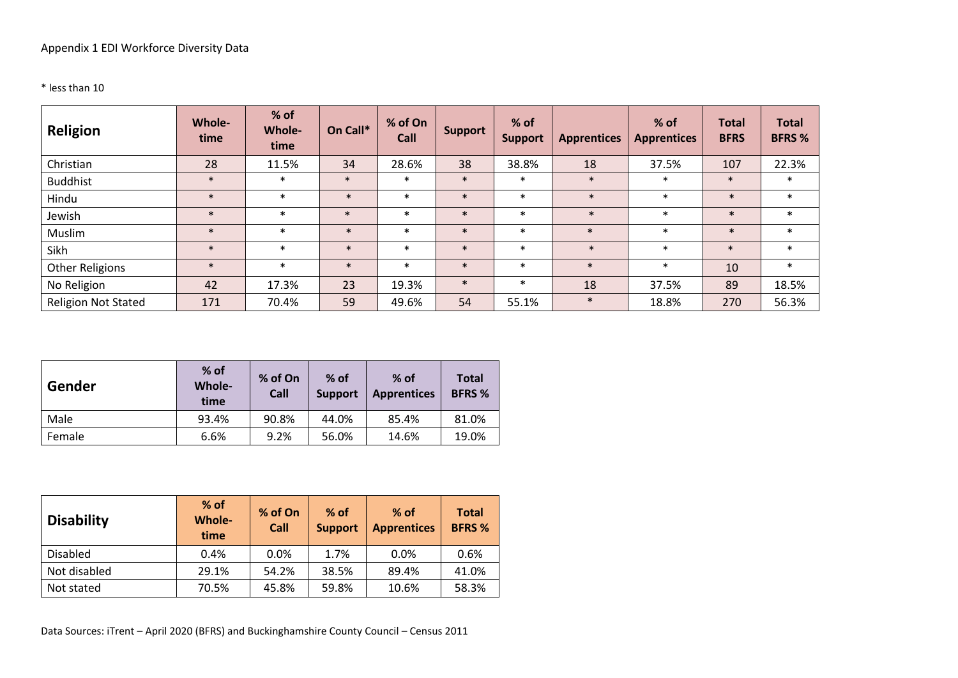### \* less than 10

| Religion                   | <b>Whole-</b><br>time | % of<br><b>Whole-</b><br>time | On Call* | % of On<br>Call | <b>Support</b> | % of<br><b>Support</b> | <b>Apprentices</b> | % of<br><b>Apprentices</b> | <b>Total</b><br><b>BFRS</b> | <b>Total</b><br><b>BFRS %</b> |
|----------------------------|-----------------------|-------------------------------|----------|-----------------|----------------|------------------------|--------------------|----------------------------|-----------------------------|-------------------------------|
| Christian                  | 28                    | 11.5%                         | 34       | 28.6%           | 38             | 38.8%                  | 18                 | 37.5%                      | 107                         | 22.3%                         |
| <b>Buddhist</b>            | $\ast$                | $\ast$                        | $\ast$   | $\ast$          | $\ast$         | $\ast$                 | $\ast$             | $\ast$                     | $\ast$                      | $\ast$                        |
| Hindu                      | $\ast$                | $\ast$                        | $\ast$   | $\ast$          | $\ast$         | $\ast$                 | $\ast$             | $\ast$                     | $\ast$                      | $\ast$                        |
| Jewish                     | $\ast$                | $\ast$                        | $\ast$   | $\ast$          | $\ast$         | $\ast$                 | $\ast$             | $\ast$                     | $\ast$                      | $\ast$                        |
| Muslim                     | $\ast$                | $\ast$                        | $\ast$   | $\ast$          | $\ast$         | $\ast$                 | $\ast$             | $\ast$                     | $\ast$                      | $\ast$                        |
| Sikh                       | $\ast$                | $\ast$                        | $\ast$   | $\ast$          | $\ast$         | $\ast$                 | $\ast$             | $\ast$                     | $\ast$                      | $\ast$                        |
| <b>Other Religions</b>     | $\ast$                | $\ast$                        | $\ast$   | $\ast$          | $\ast$         | $\ast$                 | $\ast$             | $\ast$                     | 10                          | $\ast$                        |
| No Religion                | 42                    | 17.3%                         | 23       | 19.3%           | $\ast$         | $\ast$                 | 18                 | 37.5%                      | 89                          | 18.5%                         |
| <b>Religion Not Stated</b> | 171                   | 70.4%                         | 59       | 49.6%           | 54             | 55.1%                  | $\ast$             | 18.8%                      | 270                         | 56.3%                         |

| Gender | $%$ of<br>Whole-<br>time | % of On<br>Call | $%$ of<br><b>Support</b> | $%$ of<br><b>Apprentices</b> | <b>Total</b><br><b>BFRS %</b> |
|--------|--------------------------|-----------------|--------------------------|------------------------------|-------------------------------|
| Male   | 93.4%                    | 90.8%           | 44.0%                    | 85.4%                        | 81.0%                         |
| Female | 6.6%                     | 9.2%            | 56.0%                    | 14.6%                        | 19.0%                         |

| <b>Disability</b> | $%$ of<br><b>Whole-</b><br>time | % of On<br>Call | $%$ of<br><b>Support</b> | $%$ of<br><b>Apprentices</b> | <b>Total</b><br><b>BFRS %</b> |  |
|-------------------|---------------------------------|-----------------|--------------------------|------------------------------|-------------------------------|--|
| Disabled          | 0.4%                            | 0.0%            | 1.7%                     | 0.0%                         | 0.6%                          |  |
| Not disabled      | 29.1%                           | 54.2%           | 38.5%                    | 89.4%                        | 41.0%                         |  |
| Not stated        | 70.5%                           | 45.8%           | 59.8%                    | 10.6%                        | 58.3%                         |  |

Data Sources: iTrent – April 2020 (BFRS) and Buckinghamshire County Council – Census 2011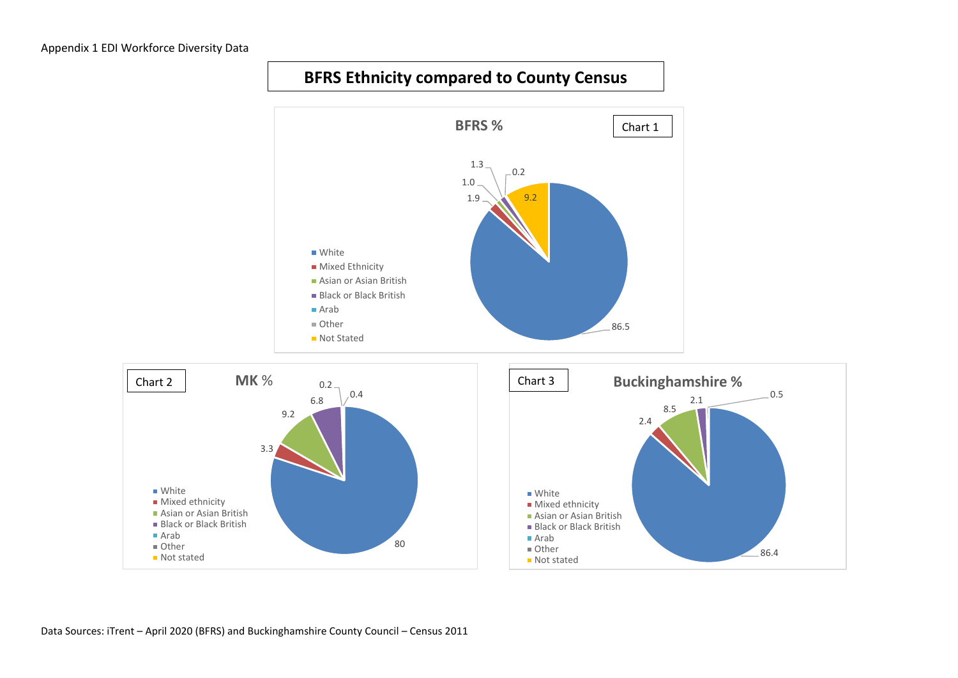

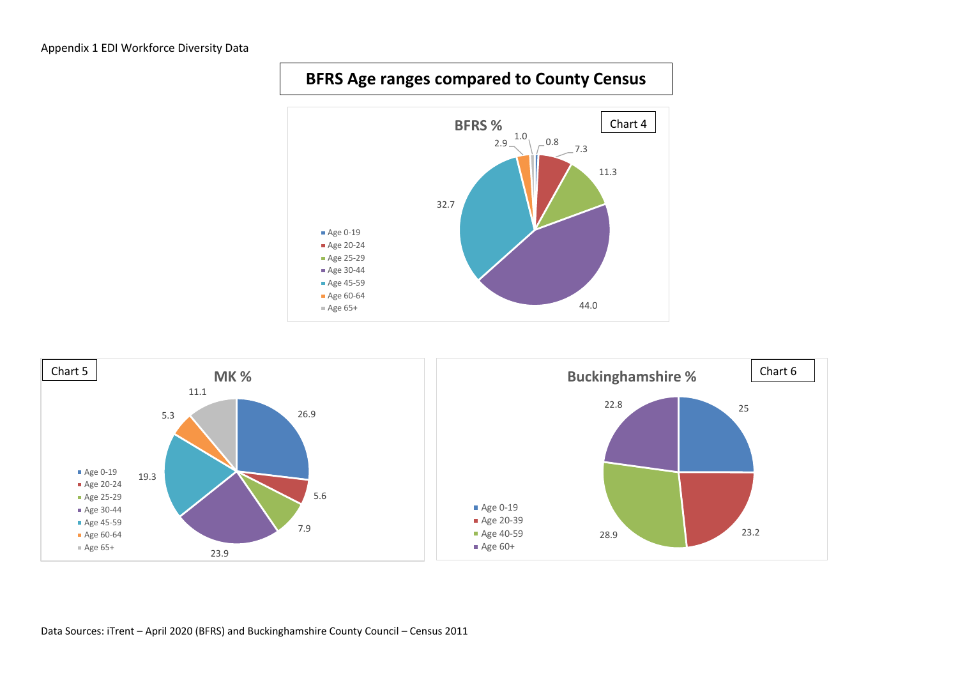### Appendix 1 EDI Workforce Diversity Data





## **BFRS Age ranges compared to County Census**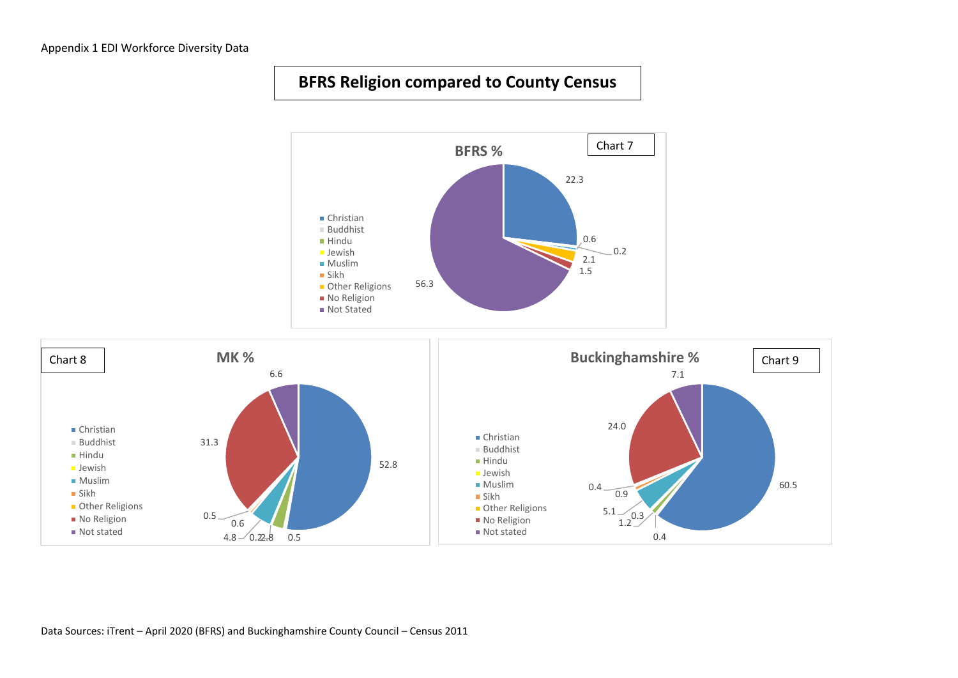## **BFRS Religion compared to County Census**



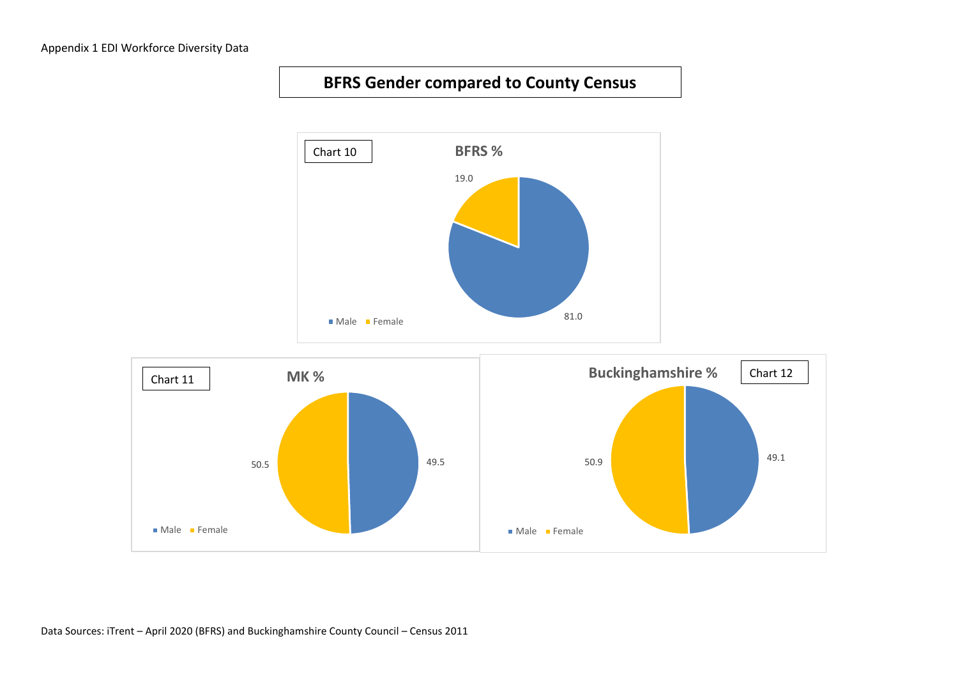## **BFRS Gender compared to County Census**



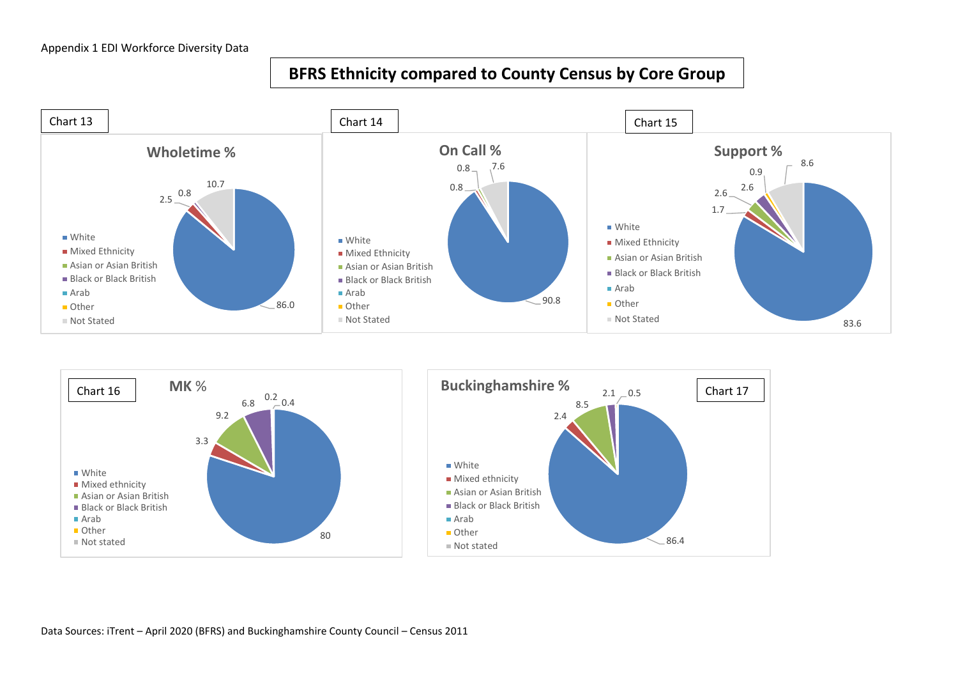## **BFRS Ethnicity compared to County Census by Core Group**



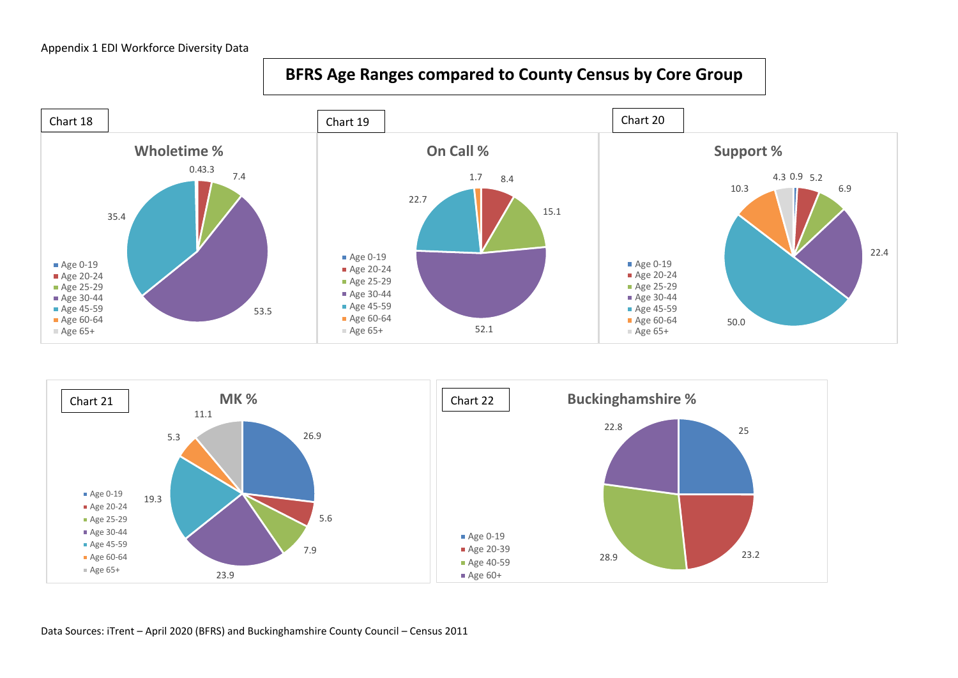## **BFRS Age Ranges compared to County Census by Core Group**





Data Sources: iTrent – April 2020 (BFRS) and Buckinghamshire County Council – Census 2011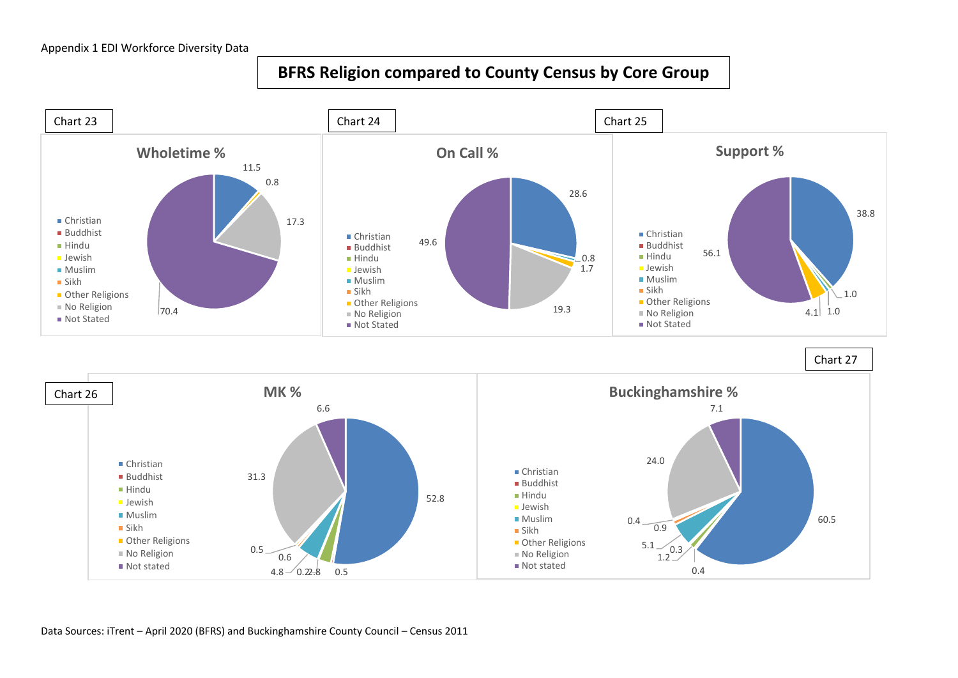## **BFRS Religion compared to County Census by Core Group**